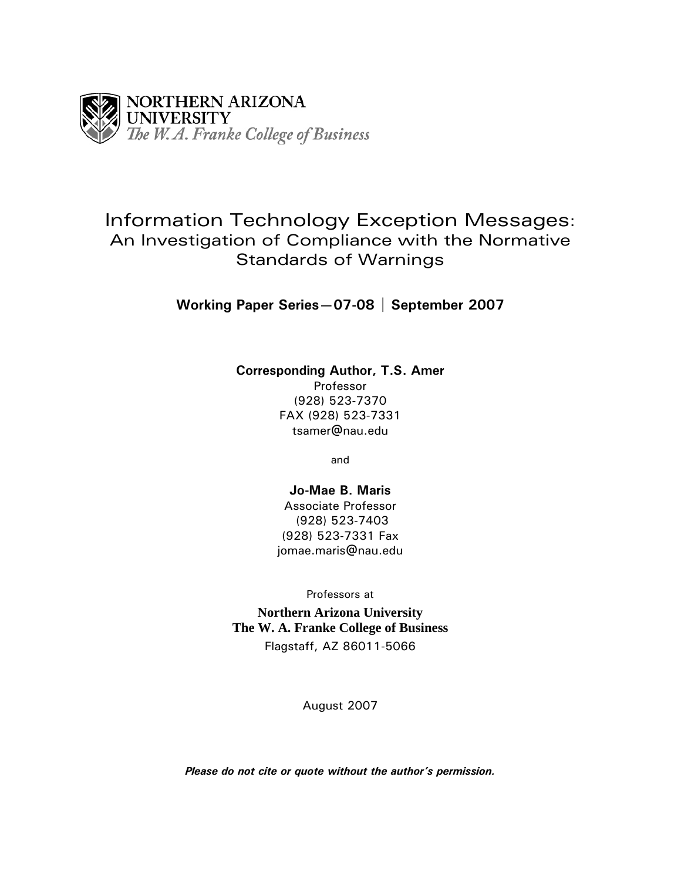

# Information Technology Exception Messages: An Investigation of Compliance with the Normative Standards of Warnings

**Working Paper Series—07-08 | September 2007** 

# **Corresponding Author, T.S. Amer**

Professor (928) 523-7370 FAX (928) 523-7331 tsamer@nau.edu

and

# **Jo-Mae B. Maris** Associate Professor (928) 523-7403 (928) 523-7331 Fax jomae.maris@nau.edu

Professors at **Northern Arizona University The W. A. Franke College of Business**  Flagstaff, AZ 86011-5066

August 2007

*Please do not cite or quote without the author's permission.*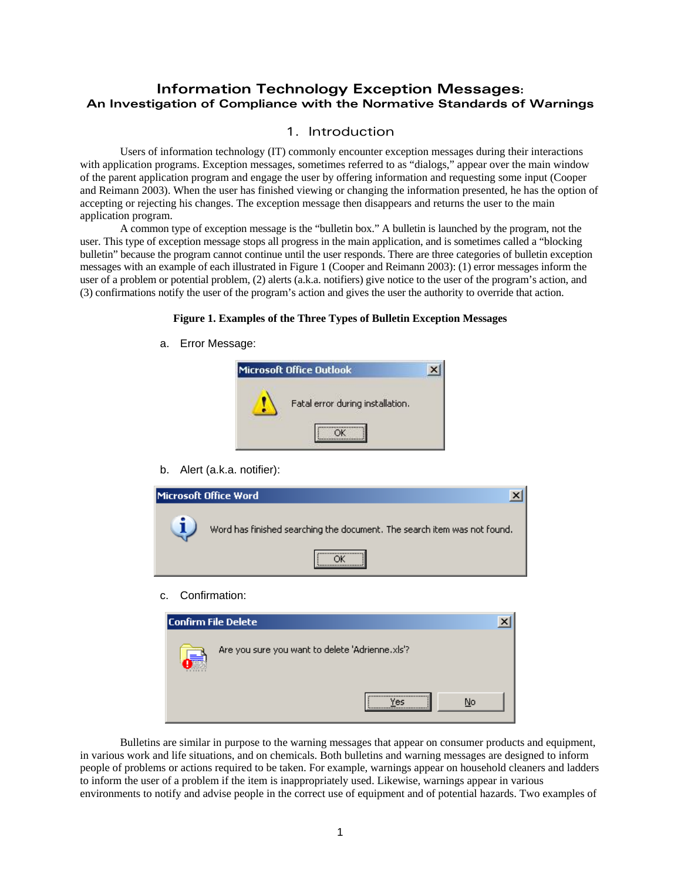# **Information Technology Exception Messages: An Investigation of Compliance with the Normative Standards of Warnings**

# 1. Introduction

Users of information technology (IT) commonly encounter exception messages during their interactions with application programs. Exception messages, sometimes referred to as "dialogs," appear over the main window of the parent application program and engage the user by offering information and requesting some input (Cooper and Reimann 2003). When the user has finished viewing or changing the information presented, he has the option of accepting or rejecting his changes. The exception message then disappears and returns the user to the main application program.

A common type of exception message is the "bulletin box." A bulletin is launched by the program, not the user. This type of exception message stops all progress in the main application, and is sometimes called a "blocking bulletin" because the program cannot continue until the user responds. There are three categories of bulletin exception messages with an example of each illustrated in Figure 1 (Cooper and Reimann 2003): (1) error messages inform the user of a problem or potential problem, (2) alerts (a.k.a. notifiers) give notice to the user of the program's action, and (3) confirmations notify the user of the program's action and gives the user the authority to override that action.

### **Figure 1. Examples of the Three Types of Bulletin Exception Messages**

a. Error Message:

| Microsoft Office Outlook |                                  |  |
|--------------------------|----------------------------------|--|
|                          | Fatal error during installation. |  |
|                          |                                  |  |

b. Alert (a.k.a. notifier):

| Microsoft Office Word                                                    |
|--------------------------------------------------------------------------|
| Word has finished searching the document. The search item was not found. |
|                                                                          |

c. Confirmation:

| lConfirm File Delete                            |        |    |  |
|-------------------------------------------------|--------|----|--|
| Are you sure you want to delete 'Adrienne.xls'? |        |    |  |
|                                                 | <br>ρc | Nο |  |

Bulletins are similar in purpose to the warning messages that appear on consumer products and equipment, in various work and life situations, and on chemicals. Both bulletins and warning messages are designed to inform people of problems or actions required to be taken. For example, warnings appear on household cleaners and ladders to inform the user of a problem if the item is inappropriately used. Likewise, warnings appear in various environments to notify and advise people in the correct use of equipment and of potential hazards. Two examples of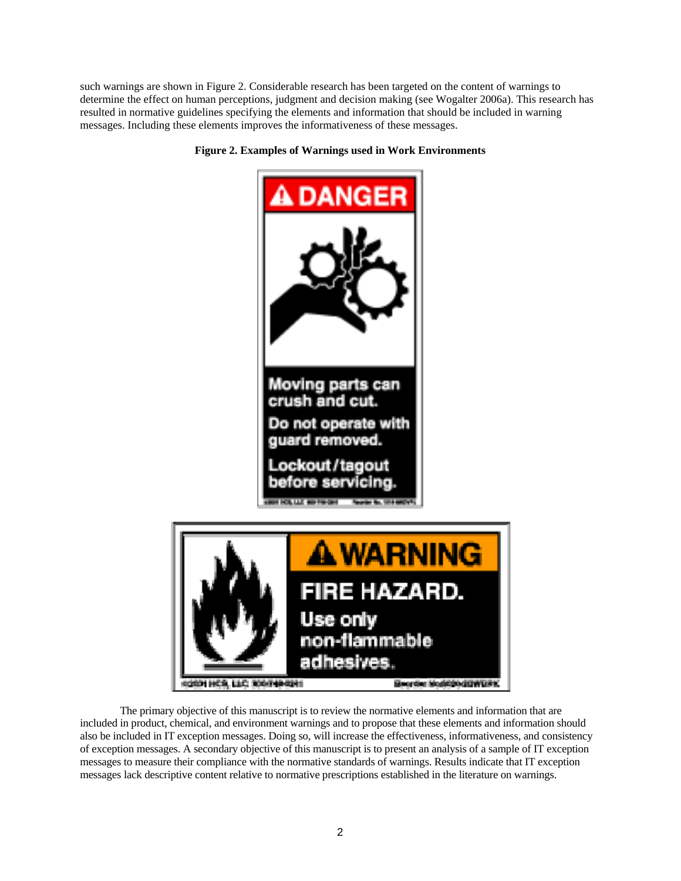such warnings are shown in Figure 2. Considerable research has been targeted on the content of warnings to determine the effect on human perceptions, judgment and decision making (see Wogalter 2006a). This research has resulted in normative guidelines specifying the elements and information that should be included in warning messages. Including these elements improves the informativeness of these messages.



#### **Figure 2. Examples of Warnings used in Work Environments**

The primary objective of this manuscript is to review the normative elements and information that are included in product, chemical, and environment warnings and to propose that these elements and information should also be included in IT exception messages. Doing so, will increase the effectiveness, informativeness, and consistency of exception messages. A secondary objective of this manuscript is to present an analysis of a sample of IT exception messages to measure their compliance with the normative standards of warnings. Results indicate that IT exception messages lack descriptive content relative to normative prescriptions established in the literature on warnings.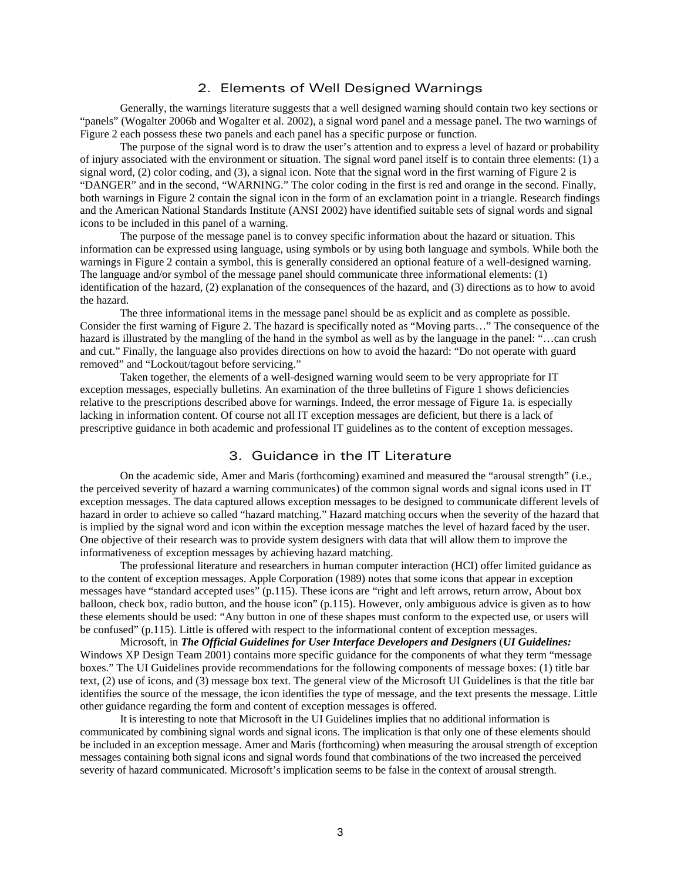# 2. Elements of Well Designed Warnings

Generally, the warnings literature suggests that a well designed warning should contain two key sections or "panels" (Wogalter 2006b and Wogalter et al. 2002), a signal word panel and a message panel. The two warnings of Figure 2 each possess these two panels and each panel has a specific purpose or function.

The purpose of the signal word is to draw the user's attention and to express a level of hazard or probability of injury associated with the environment or situation. The signal word panel itself is to contain three elements: (1) a signal word, (2) color coding, and (3), a signal icon. Note that the signal word in the first warning of Figure 2 is "DANGER" and in the second, "WARNING." The color coding in the first is red and orange in the second. Finally, both warnings in Figure 2 contain the signal icon in the form of an exclamation point in a triangle. Research findings and the American National Standards Institute (ANSI 2002) have identified suitable sets of signal words and signal icons to be included in this panel of a warning.

The purpose of the message panel is to convey specific information about the hazard or situation. This information can be expressed using language, using symbols or by using both language and symbols. While both the warnings in Figure 2 contain a symbol, this is generally considered an optional feature of a well-designed warning. The language and/or symbol of the message panel should communicate three informational elements: (1) identification of the hazard, (2) explanation of the consequences of the hazard, and (3) directions as to how to avoid the hazard.

The three informational items in the message panel should be as explicit and as complete as possible. Consider the first warning of Figure 2. The hazard is specifically noted as "Moving parts…" The consequence of the hazard is illustrated by the mangling of the hand in the symbol as well as by the language in the panel: "…can crush and cut." Finally, the language also provides directions on how to avoid the hazard: "Do not operate with guard removed" and "Lockout/tagout before servicing."

Taken together, the elements of a well-designed warning would seem to be very appropriate for IT exception messages, especially bulletins. An examination of the three bulletins of Figure 1 shows deficiencies relative to the prescriptions described above for warnings. Indeed, the error message of Figure 1a. is especially lacking in information content. Of course not all IT exception messages are deficient, but there is a lack of prescriptive guidance in both academic and professional IT guidelines as to the content of exception messages.

### 3. Guidance in the IT Literature

On the academic side, Amer and Maris (forthcoming) examined and measured the "arousal strength" (i.e., the perceived severity of hazard a warning communicates) of the common signal words and signal icons used in IT exception messages. The data captured allows exception messages to be designed to communicate different levels of hazard in order to achieve so called "hazard matching." Hazard matching occurs when the severity of the hazard that is implied by the signal word and icon within the exception message matches the level of hazard faced by the user. One objective of their research was to provide system designers with data that will allow them to improve the informativeness of exception messages by achieving hazard matching.

The professional literature and researchers in human computer interaction (HCI) offer limited guidance as to the content of exception messages. Apple Corporation (1989) notes that some icons that appear in exception messages have "standard accepted uses" (p.115). These icons are "right and left arrows, return arrow, About box balloon, check box, radio button, and the house icon" (p.115). However, only ambiguous advice is given as to how these elements should be used: "Any button in one of these shapes must conform to the expected use, or users will be confused" (p.115). Little is offered with respect to the informational content of exception messages.

Microsoft, in *The Official Guidelines for User Interface Developers and Designers* (*UI Guidelines:*  Windows XP Design Team 2001) contains more specific guidance for the components of what they term "message boxes." The UI Guidelines provide recommendations for the following components of message boxes: (1) title bar text, (2) use of icons, and (3) message box text. The general view of the Microsoft UI Guidelines is that the title bar identifies the source of the message, the icon identifies the type of message, and the text presents the message. Little other guidance regarding the form and content of exception messages is offered.

It is interesting to note that Microsoft in the UI Guidelines implies that no additional information is communicated by combining signal words and signal icons. The implication is that only one of these elements should be included in an exception message. Amer and Maris (forthcoming) when measuring the arousal strength of exception messages containing both signal icons and signal words found that combinations of the two increased the perceived severity of hazard communicated. Microsoft's implication seems to be false in the context of arousal strength.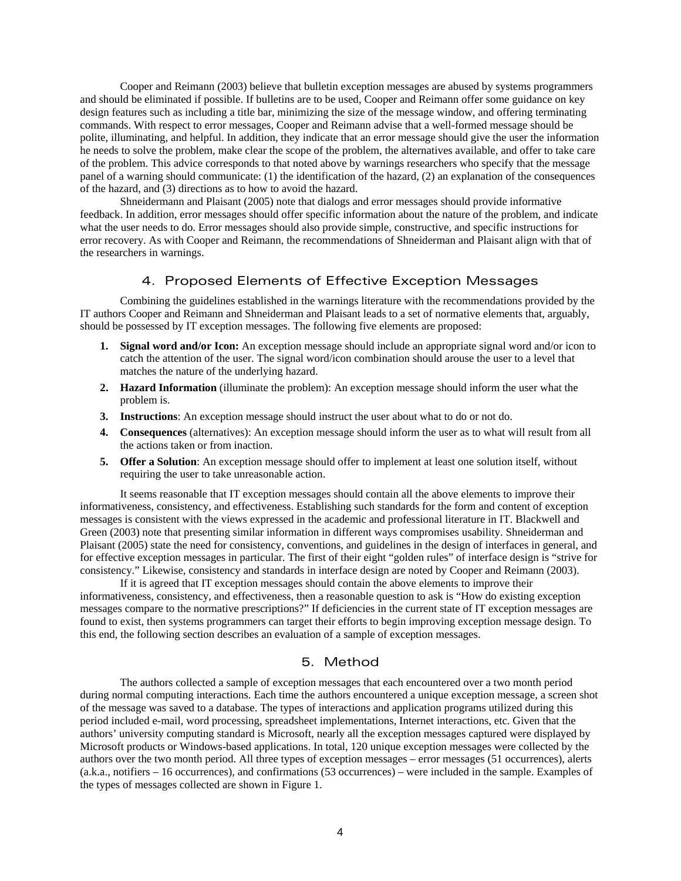Cooper and Reimann (2003) believe that bulletin exception messages are abused by systems programmers and should be eliminated if possible. If bulletins are to be used, Cooper and Reimann offer some guidance on key design features such as including a title bar, minimizing the size of the message window, and offering terminating commands. With respect to error messages, Cooper and Reimann advise that a well-formed message should be polite, illuminating, and helpful. In addition, they indicate that an error message should give the user the information he needs to solve the problem, make clear the scope of the problem, the alternatives available, and offer to take care of the problem. This advice corresponds to that noted above by warnings researchers who specify that the message panel of a warning should communicate: (1) the identification of the hazard, (2) an explanation of the consequences of the hazard, and (3) directions as to how to avoid the hazard.

Shneidermann and Plaisant (2005) note that dialogs and error messages should provide informative feedback. In addition, error messages should offer specific information about the nature of the problem, and indicate what the user needs to do. Error messages should also provide simple, constructive, and specific instructions for error recovery. As with Cooper and Reimann, the recommendations of Shneiderman and Plaisant align with that of the researchers in warnings.

# 4. Proposed Elements of Effective Exception Messages

Combining the guidelines established in the warnings literature with the recommendations provided by the IT authors Cooper and Reimann and Shneiderman and Plaisant leads to a set of normative elements that, arguably, should be possessed by IT exception messages. The following five elements are proposed:

- **1. Signal word and/or Icon:** An exception message should include an appropriate signal word and/or icon to catch the attention of the user. The signal word/icon combination should arouse the user to a level that matches the nature of the underlying hazard.
- **2. Hazard Information** (illuminate the problem): An exception message should inform the user what the problem is.
- **3. Instructions**: An exception message should instruct the user about what to do or not do.
- **4. Consequences** (alternatives): An exception message should inform the user as to what will result from all the actions taken or from inaction.
- **5. Offer a Solution**: An exception message should offer to implement at least one solution itself, without requiring the user to take unreasonable action.

It seems reasonable that IT exception messages should contain all the above elements to improve their informativeness, consistency, and effectiveness. Establishing such standards for the form and content of exception messages is consistent with the views expressed in the academic and professional literature in IT. Blackwell and Green (2003) note that presenting similar information in different ways compromises usability. Shneiderman and Plaisant (2005) state the need for consistency, conventions, and guidelines in the design of interfaces in general, and for effective exception messages in particular. The first of their eight "golden rules" of interface design is "strive for consistency." Likewise, consistency and standards in interface design are noted by Cooper and Reimann (2003).

If it is agreed that IT exception messages should contain the above elements to improve their informativeness, consistency, and effectiveness, then a reasonable question to ask is "How do existing exception messages compare to the normative prescriptions?" If deficiencies in the current state of IT exception messages are found to exist, then systems programmers can target their efforts to begin improving exception message design. To this end, the following section describes an evaluation of a sample of exception messages.

### 5. Method

The authors collected a sample of exception messages that each encountered over a two month period during normal computing interactions. Each time the authors encountered a unique exception message, a screen shot of the message was saved to a database. The types of interactions and application programs utilized during this period included e-mail, word processing, spreadsheet implementations, Internet interactions, etc. Given that the authors' university computing standard is Microsoft, nearly all the exception messages captured were displayed by Microsoft products or Windows-based applications. In total, 120 unique exception messages were collected by the authors over the two month period. All three types of exception messages – error messages (51 occurrences), alerts (a.k.a., notifiers – 16 occurrences), and confirmations (53 occurrences) – were included in the sample. Examples of the types of messages collected are shown in Figure 1.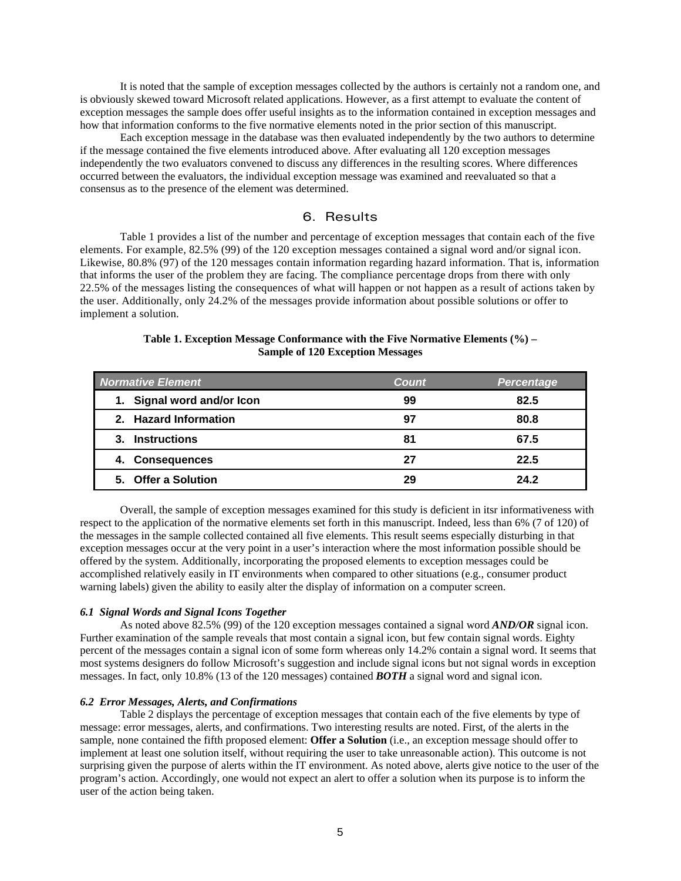It is noted that the sample of exception messages collected by the authors is certainly not a random one, and is obviously skewed toward Microsoft related applications. However, as a first attempt to evaluate the content of exception messages the sample does offer useful insights as to the information contained in exception messages and how that information conforms to the five normative elements noted in the prior section of this manuscript.

Each exception message in the database was then evaluated independently by the two authors to determine if the message contained the five elements introduced above. After evaluating all 120 exception messages independently the two evaluators convened to discuss any differences in the resulting scores. Where differences occurred between the evaluators, the individual exception message was examined and reevaluated so that a consensus as to the presence of the element was determined.

## 6. Results

Table 1 provides a list of the number and percentage of exception messages that contain each of the five elements. For example, 82.5% (99) of the 120 exception messages contained a signal word and/or signal icon. Likewise, 80.8% (97) of the 120 messages contain information regarding hazard information. That is, information that informs the user of the problem they are facing. The compliance percentage drops from there with only 22.5% of the messages listing the consequences of what will happen or not happen as a result of actions taken by the user. Additionally, only 24.2% of the messages provide information about possible solutions or offer to implement a solution.

| <b>Normative Element</b>   | Count | <b>Percentage</b> |
|----------------------------|-------|-------------------|
| 1. Signal word and/or Icon | 99    | 82.5              |
| 2. Hazard Information      | 97    | 80.8              |
| 3. Instructions            | 81    | 67.5              |
| 4. Consequences            | 27    | 22.5              |
| 5. Offer a Solution        | 29    | 24.2              |

#### **Table 1. Exception Message Conformance with the Five Normative Elements (%) – Sample of 120 Exception Messages**

Overall, the sample of exception messages examined for this study is deficient in itsr informativeness with respect to the application of the normative elements set forth in this manuscript. Indeed, less than 6% (7 of 120) of the messages in the sample collected contained all five elements. This result seems especially disturbing in that exception messages occur at the very point in a user's interaction where the most information possible should be offered by the system. Additionally, incorporating the proposed elements to exception messages could be accomplished relatively easily in IT environments when compared to other situations (e.g., consumer product warning labels) given the ability to easily alter the display of information on a computer screen.

#### *6.1 Signal Words and Signal Icons Together*

As noted above 82.5% (99) of the 120 exception messages contained a signal word *AND/OR* signal icon. Further examination of the sample reveals that most contain a signal icon, but few contain signal words. Eighty percent of the messages contain a signal icon of some form whereas only 14.2% contain a signal word. It seems that most systems designers do follow Microsoft's suggestion and include signal icons but not signal words in exception messages. In fact, only 10.8% (13 of the 120 messages) contained *BOTH* a signal word and signal icon.

#### *6.2 Error Messages, Alerts, and Confirmations*

Table 2 displays the percentage of exception messages that contain each of the five elements by type of message: error messages, alerts, and confirmations. Two interesting results are noted. First, of the alerts in the sample, none contained the fifth proposed element: **Offer a Solution** (i.e., an exception message should offer to implement at least one solution itself, without requiring the user to take unreasonable action). This outcome is not surprising given the purpose of alerts within the IT environment. As noted above, alerts give notice to the user of the program's action. Accordingly, one would not expect an alert to offer a solution when its purpose is to inform the user of the action being taken.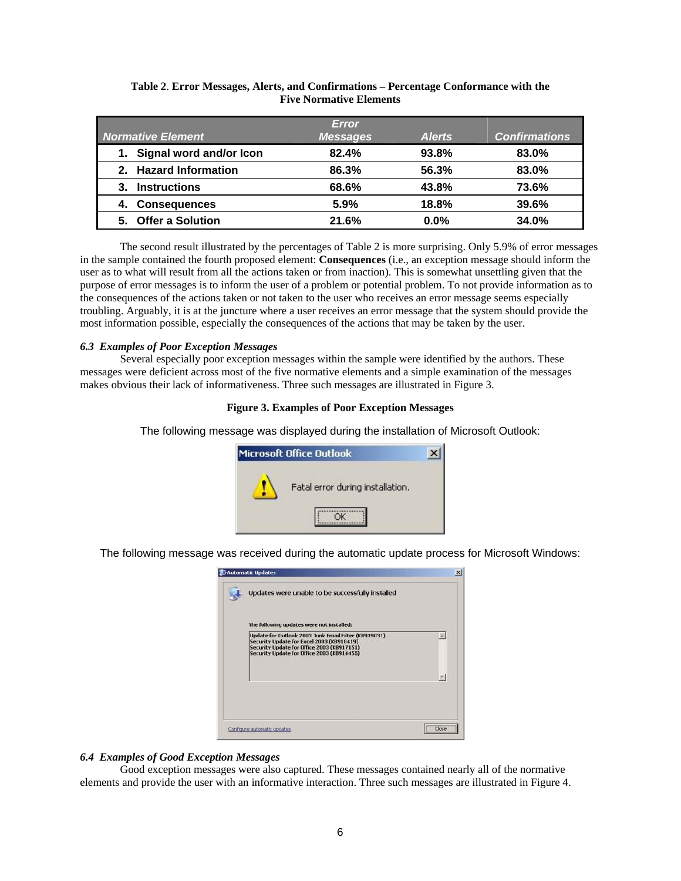| <b>Normative Element</b>      | <b>Error</b><br><b>Messages</b> | <b>Alerts</b> | <b>Confirmations</b> |
|-------------------------------|---------------------------------|---------------|----------------------|
| Signal word and/or Icon<br>1. | 82.4%                           | 93.8%         | 83.0%                |
| 2. Hazard Information         | 86.3%                           | 56.3%         | 83.0%                |
| <b>Instructions</b>           | 68.6%                           | 43.8%         | 73.6%                |
| <b>Consequences</b><br>4.     | 5.9%                            | 18.8%         | 39.6%                |
| 5. Offer a Solution           | 21.6%                           | $0.0\%$       | 34.0%                |

### **Table 2**. **Error Messages, Alerts, and Confirmations – Percentage Conformance with the Five Normative Elements**

The second result illustrated by the percentages of Table 2 is more surprising. Only 5.9% of error messages in the sample contained the fourth proposed element: **Consequences** (i.e., an exception message should inform the user as to what will result from all the actions taken or from inaction). This is somewhat unsettling given that the purpose of error messages is to inform the user of a problem or potential problem. To not provide information as to the consequences of the actions taken or not taken to the user who receives an error message seems especially troubling. Arguably, it is at the juncture where a user receives an error message that the system should provide the most information possible, especially the consequences of the actions that may be taken by the user.

#### *6.3 Examples of Poor Exception Messages*

Several especially poor exception messages within the sample were identified by the authors. These messages were deficient across most of the five normative elements and a simple examination of the messages makes obvious their lack of informativeness. Three such messages are illustrated in Figure 3.

#### **Figure 3. Examples of Poor Exception Messages**

The following message was displayed during the installation of Microsoft Outlook:

| <b>Microsoft Office Outlook</b> |                                  |  |
|---------------------------------|----------------------------------|--|
|                                 | Fatal error during installation. |  |
|                                 |                                  |  |

The following message was received during the automatic update process for Microsoft Windows:

| Updates were unable to be successfully installed                                                                                                                                              |   |
|-----------------------------------------------------------------------------------------------------------------------------------------------------------------------------------------------|---|
| The following updates were not installed:                                                                                                                                                     |   |
| Update for Outlook 2003 Junk Email Filter (KB919031)<br>Security Update for Excel 2003 (KB918419)<br>Security Update for Office 2003 (KB917151)<br>Security Update for Office 2003 (KB914455) | × |
|                                                                                                                                                                                               |   |

#### *6.4 Examples of Good Exception Messages*

Good exception messages were also captured. These messages contained nearly all of the normative elements and provide the user with an informative interaction. Three such messages are illustrated in Figure 4.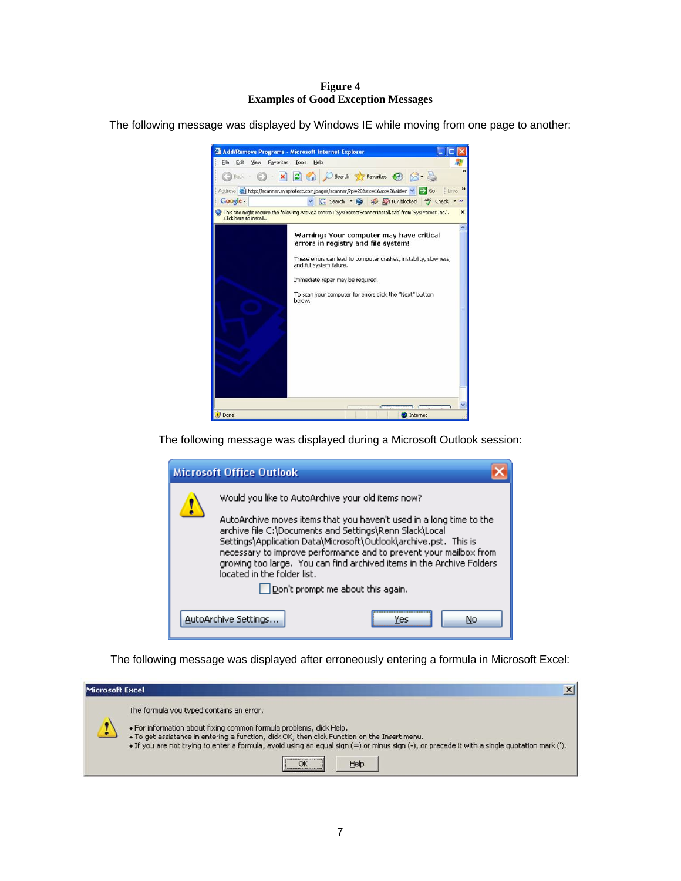#### **Figure 4 Examples of Good Exception Messages**

The following message was displayed by Windows IE while moving from one page to another:



The following message was displayed during a Microsoft Outlook session:



The following message was displayed after erroneously entering a formula in Microsoft Excel:

| Microsoft Excel |                                                                                                                                                                                                                                                                                                                                                                          |  |
|-----------------|--------------------------------------------------------------------------------------------------------------------------------------------------------------------------------------------------------------------------------------------------------------------------------------------------------------------------------------------------------------------------|--|
|                 | The formula you typed contains an error.<br>. For information about fixing common formula problems, click Help.<br>. To get assistance in entering a function, click OK, then click Function on the Insert menu.<br>. If you are not trying to enter a formula, avoid using an equal sign (=) or minus sign (-), or precede it with a single quotation mark (").<br>Help |  |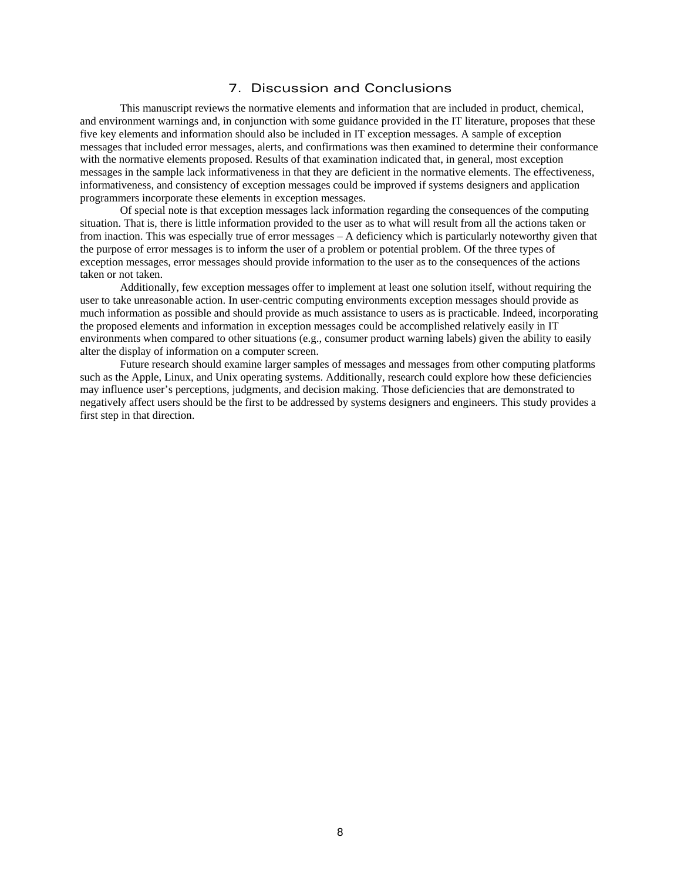# 7. Discussion and Conclusions

This manuscript reviews the normative elements and information that are included in product, chemical, and environment warnings and, in conjunction with some guidance provided in the IT literature, proposes that these five key elements and information should also be included in IT exception messages. A sample of exception messages that included error messages, alerts, and confirmations was then examined to determine their conformance with the normative elements proposed. Results of that examination indicated that, in general, most exception messages in the sample lack informativeness in that they are deficient in the normative elements. The effectiveness, informativeness, and consistency of exception messages could be improved if systems designers and application programmers incorporate these elements in exception messages.

Of special note is that exception messages lack information regarding the consequences of the computing situation. That is, there is little information provided to the user as to what will result from all the actions taken or from inaction. This was especially true of error messages – A deficiency which is particularly noteworthy given that the purpose of error messages is to inform the user of a problem or potential problem. Of the three types of exception messages, error messages should provide information to the user as to the consequences of the actions taken or not taken.

Additionally, few exception messages offer to implement at least one solution itself, without requiring the user to take unreasonable action. In user-centric computing environments exception messages should provide as much information as possible and should provide as much assistance to users as is practicable. Indeed, incorporating the proposed elements and information in exception messages could be accomplished relatively easily in IT environments when compared to other situations (e.g., consumer product warning labels) given the ability to easily alter the display of information on a computer screen.

Future research should examine larger samples of messages and messages from other computing platforms such as the Apple, Linux, and Unix operating systems. Additionally, research could explore how these deficiencies may influence user's perceptions, judgments, and decision making. Those deficiencies that are demonstrated to negatively affect users should be the first to be addressed by systems designers and engineers. This study provides a first step in that direction.